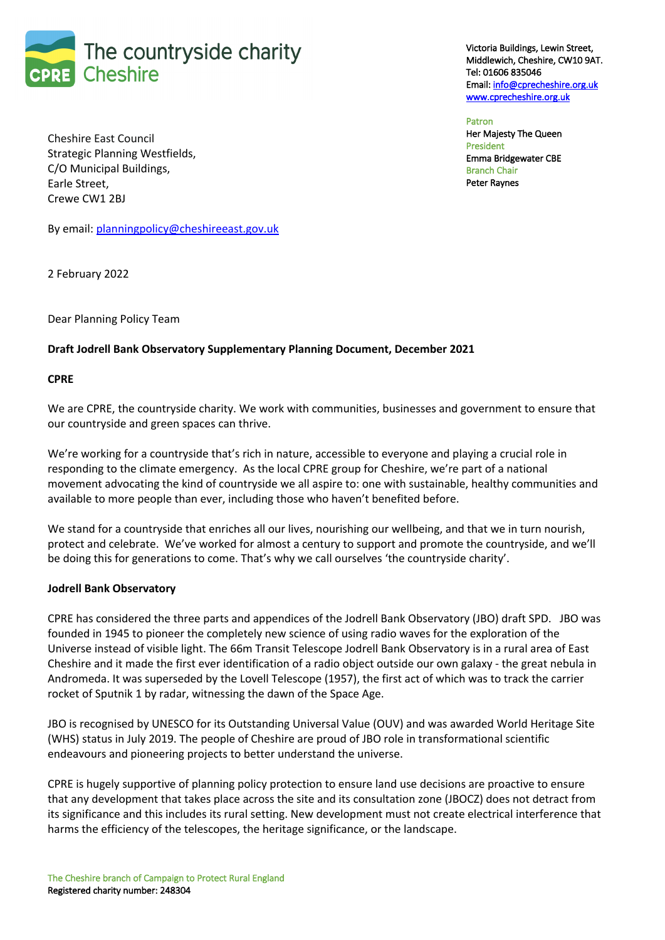

Victoria Buildings, Lewin Street, Middlewich, Cheshire, CW10 9AT. Tel: 01606 835046 Email: info@cprecheshire.org.uk www.cprecheshire.org.uk

Patron Her Majesty The Queen President Emma Bridgewater CBE Branch Chair Peter Raynes

Cheshire East Council Strategic Planning Westfields, C/O Municipal Buildings, Earle Street, Crewe CW1 2BJ

By email: planningpolicy@cheshireeast.gov.uk

2 February 2022

Dear Planning Policy Team

## **Draft Jodrell Bank Observatory Supplementary Planning Document, December 2021**

## **CPRE**

We are CPRE, the countryside charity. We work with communities, businesses and government to ensure that our countryside and green spaces can thrive.

We're working for a countryside that's rich in nature, accessible to everyone and playing a crucial role in responding to the climate emergency. As the local CPRE group for Cheshire, we're part of a national movement advocating the kind of countryside we all aspire to: one with sustainable, healthy communities and available to more people than ever, including those who haven't benefited before.

We stand for a countryside that enriches all our lives, nourishing our wellbeing, and that we in turn nourish, protect and celebrate. We've worked for almost a century to support and promote the countryside, and we'll be doing this for generations to come. That's why we call ourselves 'the countryside charity'.

## **Jodrell Bank Observatory**

CPRE has considered the three parts and appendices of the Jodrell Bank Observatory (JBO) draft SPD. JBO was founded in 1945 to pioneer the completely new science of using radio waves for the exploration of the Universe instead of visible light. The 66m Transit Telescope Jodrell Bank Observatory is in a rural area of East Cheshire and it made the first ever identification of a radio object outside our own galaxy - the great nebula in Andromeda. It was superseded by the Lovell Telescope (1957), the first act of which was to track the carrier rocket of Sputnik 1 by radar, witnessing the dawn of the Space Age.

JBO is recognised by UNESCO for its Outstanding Universal Value (OUV) and was awarded World Heritage Site (WHS) status in July 2019. The people of Cheshire are proud of JBO role in transformational scientific endeavours and pioneering projects to better understand the universe.

CPRE is hugely supportive of planning policy protection to ensure land use decisions are proactive to ensure that any development that takes place across the site and its consultation zone (JBOCZ) does not detract from its significance and this includes its rural setting. New development must not create electrical interference that harms the efficiency of the telescopes, the heritage significance, or the landscape.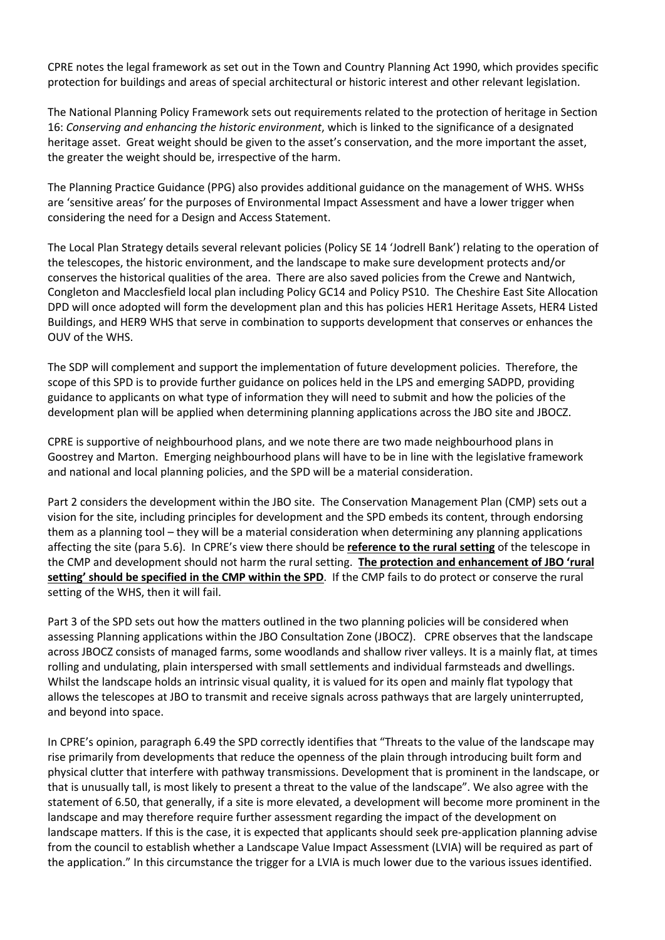CPRE notes the legal framework as set out in the Town and Country Planning Act 1990, which provides specific protection for buildings and areas of special architectural or historic interest and other relevant legislation.

The National Planning Policy Framework sets out requirements related to the protection of heritage in Section 16: *Conserving and enhancing the historic environment*, which is linked to the significance of a designated heritage asset. Great weight should be given to the asset's conservation, and the more important the asset, the greater the weight should be, irrespective of the harm.

The Planning Practice Guidance (PPG) also provides additional guidance on the management of WHS. WHSs are 'sensitive areas' for the purposes of Environmental Impact Assessment and have a lower trigger when considering the need for a Design and Access Statement.

The Local Plan Strategy details several relevant policies (Policy SE 14 'Jodrell Bank') relating to the operation of the telescopes, the historic environment, and the landscape to make sure development protects and/or conserves the historical qualities of the area. There are also saved policies from the Crewe and Nantwich, Congleton and Macclesfield local plan including Policy GC14 and Policy PS10. The Cheshire East Site Allocation DPD will once adopted will form the development plan and this has policies HER1 Heritage Assets, HER4 Listed Buildings, and HER9 WHS that serve in combination to supports development that conserves or enhances the OUV of the WHS.

The SDP will complement and support the implementation of future development policies. Therefore, the scope of this SPD is to provide further guidance on polices held in the LPS and emerging SADPD, providing guidance to applicants on what type of information they will need to submit and how the policies of the development plan will be applied when determining planning applications across the JBO site and JBOCZ.

CPRE is supportive of neighbourhood plans, and we note there are two made neighbourhood plans in Goostrey and Marton. Emerging neighbourhood plans will have to be in line with the legislative framework and national and local planning policies, and the SPD will be a material consideration.

Part 2 considers the development within the JBO site. The Conservation Management Plan (CMP) sets out a vision for the site, including principles for development and the SPD embeds its content, through endorsing them as a planning tool – they will be a material consideration when determining any planning applications affecting the site (para 5.6). In CPRE's view there should be **reference to the rural setting** of the telescope in the CMP and development should not harm the rural setting. **The protection and enhancement of JBO 'rural setting' should be specified in the CMP within the SPD**. If the CMP fails to do protect or conserve the rural setting of the WHS, then it will fail.

Part 3 of the SPD sets out how the matters outlined in the two planning policies will be considered when assessing Planning applications within the JBO Consultation Zone (JBOCZ). CPRE observes that the landscape across JBOCZ consists of managed farms, some woodlands and shallow river valleys. It is a mainly flat, at times rolling and undulating, plain interspersed with small settlements and individual farmsteads and dwellings. Whilst the landscape holds an intrinsic visual quality, it is valued for its open and mainly flat typology that allows the telescopes at JBO to transmit and receive signals across pathways that are largely uninterrupted, and beyond into space.

In CPRE's opinion, paragraph 6.49 the SPD correctly identifies that "Threats to the value of the landscape may rise primarily from developments that reduce the openness of the plain through introducing built form and physical clutter that interfere with pathway transmissions. Development that is prominent in the landscape, or that is unusually tall, is most likely to present a threat to the value of the landscape". We also agree with the statement of 6.50, that generally, if a site is more elevated, a development will become more prominent in the landscape and may therefore require further assessment regarding the impact of the development on landscape matters. If this is the case, it is expected that applicants should seek pre-application planning advise from the council to establish whether a Landscape Value Impact Assessment (LVIA) will be required as part of the application." In this circumstance the trigger for a LVIA is much lower due to the various issues identified.